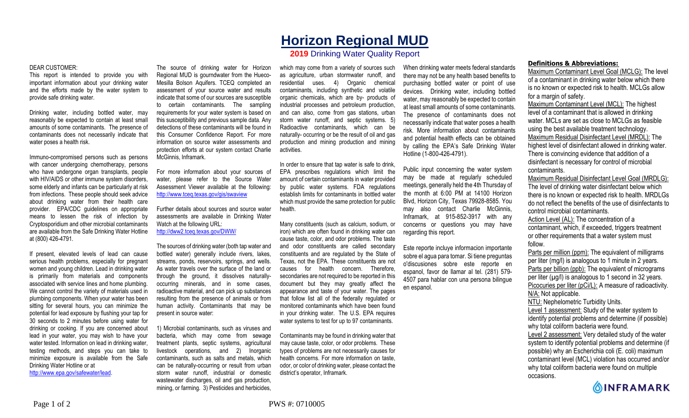## **Horizon Regional MUD**

## **2019** Drinking Water Quality Report

## DEAR CUSTOMER:

This report is intended to provide you with important information about your drinking water and the efforts made by the water system to provide safe drinking water.

Drinking water, including bottled water, may reasonably be expected to contain at least small amounts of some contaminants. The presence of contaminants does not necessarily indicate that water poses a health risk.

Immuno-compromised persons such as persons with cancer undergoing chemotherapy, persons who have undergone organ transplants, people with HIV/AIDS or other immune system disorders, some elderly and infants can be particularly at risk from infections. These people should seek advice about drinking water from their health care provider. EPA/CDC guidelines on appropriate means to lessen the risk of infection by Cryptosporidium and other microbial contaminants are available from the Safe Drinking Water Hotline at (800) 426-4791.

If present, elevated levels of lead can cause serious health problems, especially for pregnant women and young children. Lead in drinking water is primarily from materials and components associated with service lines and home plumbing. We cannot control the variety of materials used in plumbing components. When your water has been sitting for several hours, you can minimize the potential for lead exposure by flushing your tap for 30 seconds to 2 minutes before using water for drinking or cooking. If you are concerned about lead in your water, you may wish to have your water tested. Information on lead in drinking water, testing methods, and steps you can take to minimize exposure is available from the Safe Drinking Water Hotline or at

http://www.epa.gov/safewater/lead.

The source of drinking water for Horizon Regional MUD is gourndwater from the Hueco-Mesilla Bolson Aquifers. TCEQ completed an assessment of your source water and results indicate that some of our sources are susceptible to certain contaminants. The sampling requirements for your water system is based on this susceptibility and previous sample data. Any detections of these contaminants will be found in this Consumer Confidence Report. For more information on source water assessments and protection efforts at our system contact Charlie McGinnis, Inframark.

For more information about your sources of water, please refer to the Source Water Assessment Viewer available at the following: http://www.tceq.texas.gov/gis/swaview

Further details about sources and source water assessments are available in Drinking Water Watch at the following URL: http://dww2.tceq.texas.gov/DWW/

The sources of drinking water (both tap water and bottled water) generally include rivers, lakes, streams, ponds, reservoirs, springs, and wells. As water travels over the surface of the land or through the ground, it dissolves naturallyoccurring minerals, and in some cases, radioactive material, and can pick up substances resulting from the presence of animals or from human activity. Contaminants that may be present in source water:

1) Microbial contaminants, such as viruses and bacteria, which may come from sewage treatment plants, septic systems, agricultural livestock operations, and 2) Inorganic contaminants, such as salts and metals, which can be naturally-occurring or result from urban storm water runoff, industrial or domestic wastewater discharges, oil and gas production, mining, or farming. 3) Pesticides and herbicides,

which may come from a variety of sources such as agriculture, urban stormwater runoff, and residential uses. 4) Organic chemical contaminants, including synthetic and volatile organic chemicals, which are by- products of industrial processes and petroleum production, and can also, come from gas stations, urban storm water runoff, and septic systems. 5) Radioactive contaminants, which can be naturally- occurring or be the result of oil and gas production and mining production and mining activities.

In order to ensure that tap water is safe to drink, EPA prescribes regulations which limit the amount of certain contaminants in water provided by public water systems. FDA regulations establish limits for contaminants in bottled water which must provide the same protection for public health.

Many constituents (such as calcium, sodium, or iron) which are often found in drinking water can cause taste, color, and odor problems. The taste and odor constituents are called secondary constituents and are regulated by the State of Texas, not the EPA. These constituents are not causes for health concern. Therefore, secondaries are not required to be reported in this document but they may greatly affect the appearance and taste of your water. The pages that follow list all of the federally regulated or monitored contaminants which have been found in your drinking water. The U.S. EPA requires water systems to test for up to 97 contaminants.

Contaminants may be found in drinking water that may cause taste, color, or odor problems. These types of problems are not necessarily causes for health concerns. For more information on taste, odor, or color of drinking water, please contact the district's operator, Inframark.

When drinking water meets federal standards there may not be any health based benefits to purchasing bottled water or point of use devices. Drinking water, including bottled water, may reasonably be expected to contain at least small amounts of some contaminants. The presence of contaminants does not necessarily indicate that water poses a health risk. More information about contaminants and potential health effects can be obtained by calling the EPA's Safe Drinking Water Hotline (1-800-426-4791).

Public input concerning the water system may be made at regularly scheduled meetings, generally held the 4th Thursday of the month at 6:00 PM at 14100 Horizon Blvd, Horizon City, Texas 79928-8585. You may also contact Charlie McGinnis, Inframark, at 915-852-3917 with any concerns or questions you may have regarding this report.

Este reporte incluye informacion importante sobre el agua para tomar. Si tiene preguntas o'discusiones sobre este reporte en espanol, favor de llamar al tel. (281) 579- 4507 para hablar con una persona bilingue en espanol.

## **Definitions & Abbreviations:**

Maximum Contaminant Level Goal (MCLG): The level of a contaminant in drinking water below which there is no known or expected risk to health. MCLGs allow for a margin of safety.

Maximum Contaminant Level (MCL): The highest level of a contaminant that is allowed in drinking water. MCLs are set as close to MCLGs as feasible using the best available treatment technology. Maximum Residual Disinfectant Level (MRDL): The highest level of disinfectant allowed in drinking water. There is convincing evidence that addition of a disinfectant is necessary for control of microbial contaminants.

Maximum Residual Disinfectant Level Goal (MRDLG): The level of drinking water disinfectant below which there is no known or expected risk to health. MRDLGs do not reflect the benefits of the use of disinfectants to control microbial contaminants.

Action Level (AL): The concentration of a contaminant, which, if exceeded, triggers treatment or other requirements that a water system must follow.

Parts per million (ppm): The equivalent of milligrams per liter (mg/l) is analogous to 1 minute in 2 years. Parts per billion (ppb): The equivalent of micrograms per liter  $(\mu g/l)$  is analogous to 1 second in 32 years. Picocuries per liter (pCi/L): A measure of radioactivity. N/A: Not applicable. NTU: Nephelometric Turbidity Units. Level 1 assessment: Study of the water system to

identify potential problems and determine (if possible) why total coliform bacteria were found.

Level 2 assessment: Very detailed study of the water system to identify potential problems and determine (if possible) why an Escherichia coli (E. coli) maximum contaminant level (MCL) violation has occurred and/or why total coliform bacteria were found on multiple occasions.

**OINFRAMARK**